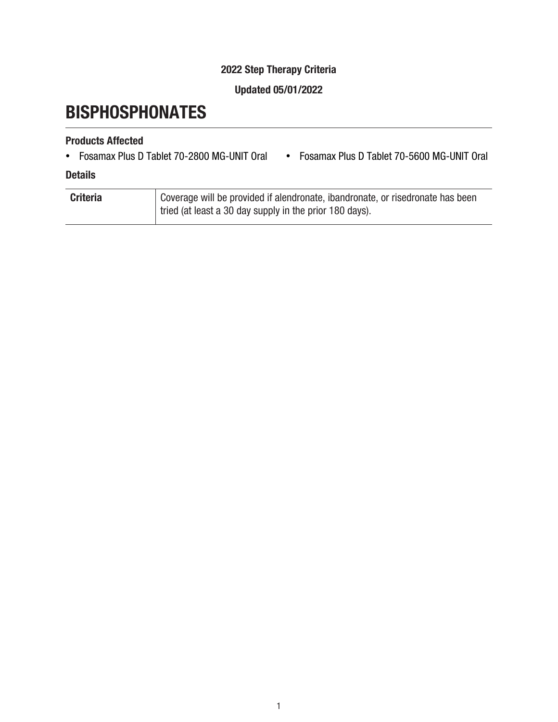## 2022 Step Therapy Criteria

### Updated 05/01/2022

# **BISPHOSPHONATES**

## Products Affected

- Fosamax Plus D Tablet 70-2800 MG-UNIT Oral Fosamax Plus D Tablet 70-5600 MG-UNIT Oral
	-

#### **Details**

| <b>Criteria</b> | Coverage will be provided if alendronate, ibandronate, or risedronate has been |
|-----------------|--------------------------------------------------------------------------------|
|                 | tried (at least a 30 day supply in the prior 180 days).                        |
|                 |                                                                                |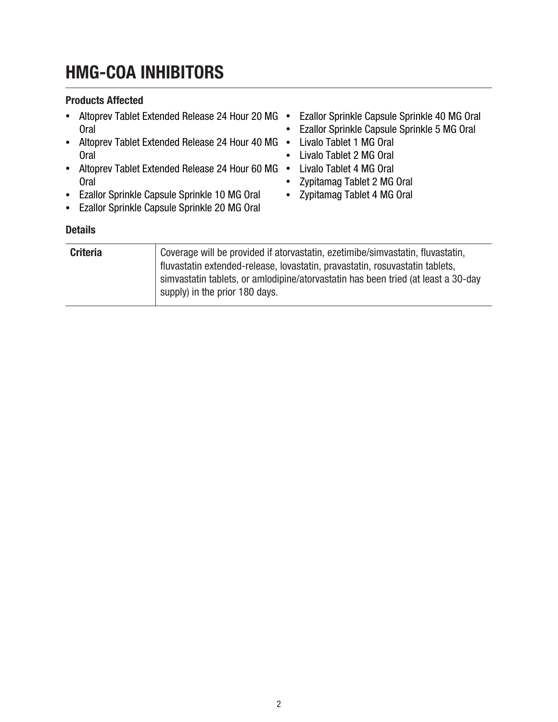# HMG-COA INHIBITORS

#### Products Affected

• Altoprev Tablet Extended Release 24 Hour 20 MG · Ezallor Sprinkle Capsule Sprinkle 40 MG Oral Oral • Altoprev Tablet Extended Release 24 Hour 40 MG · Livalo Tablet 1 MG Oral Oral • Altoprev Tablet Extended Release 24 Hour 60 MG · Livalo Tablet 4 MG Oral **Oral** • Ezallor Sprinkle Capsule Sprinkle 10 MG Oral • Ezallor Sprinkle Capsule Sprinkle 20 MG Oral • Ezallor Sprinkle Capsule Sprinkle 5 MG Oral • Livalo Tablet 2 MG Oral • Zypitamag Tablet 2 MG Oral • Zypitamag Tablet 4 MG Oral **Details** 

| <b>Criteria</b> | Coverage will be provided if atorvastatin, ezetimibe/simvastatin, fluvastatin,    |
|-----------------|-----------------------------------------------------------------------------------|
|                 | fluvastatin extended-release, lovastatin, pravastatin, rosuvastatin tablets,      |
|                 | simvastatin tablets, or amlodipine/atorvastatin has been tried (at least a 30-day |
|                 | supply) in the prior 180 days.                                                    |
|                 |                                                                                   |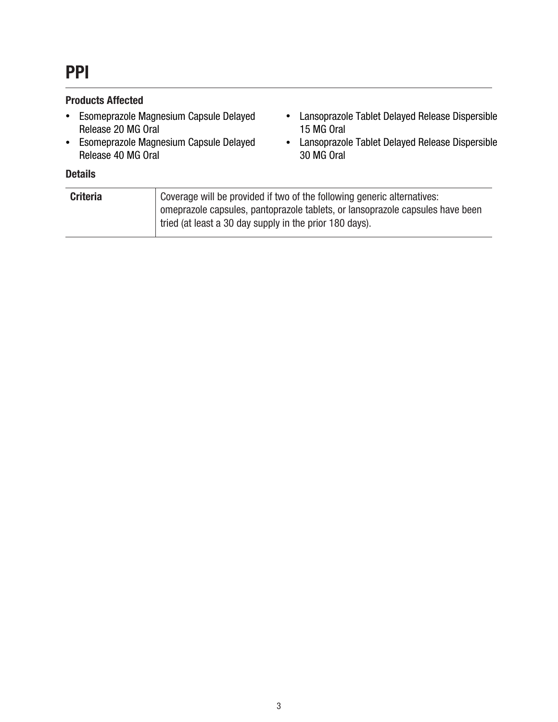#### Products Affected

- Esomeprazole Magnesium Capsule Delayed Release 20 MG Oral
- Esomeprazole Magnesium Capsule Delayed Release 40 MG Oral
- Lansoprazole Tablet Delayed Release Dispersible 15 MG Oral
- Lansoprazole Tablet Delayed Release Dispersible 30 MG Oral

#### **Details**

| <b>Criteria</b> | Coverage will be provided if two of the following generic alternatives:       |
|-----------------|-------------------------------------------------------------------------------|
|                 | omeprazole capsules, pantoprazole tablets, or lansoprazole capsules have been |
|                 | tried (at least a 30 day supply in the prior 180 days).                       |
|                 |                                                                               |